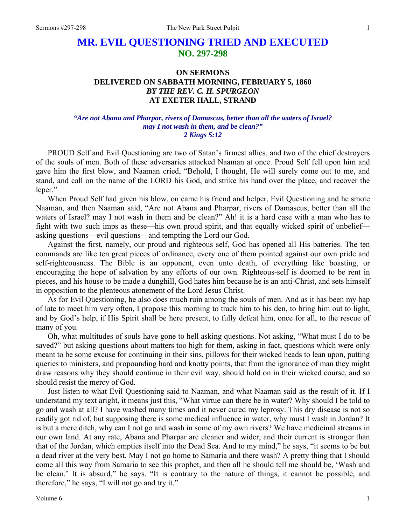## **MR. EVIL QUESTIONING TRIED AND EXECUTED NO. 297-298**

## **ON SERMONS DELIVERED ON SABBATH MORNING, FEBRUARY 5, 1860**  *BY THE REV. C. H. SPURGEON*  **AT EXETER HALL, STRAND**

## *"Are not Abana and Pharpar, rivers of Damascus, better than all the waters of Israel? may I not wash in them, and be clean?" 2 Kings 5:12*

PROUD Self and Evil Questioning are two of Satan's firmest allies, and two of the chief destroyers of the souls of men. Both of these adversaries attacked Naaman at once. Proud Self fell upon him and gave him the first blow, and Naaman cried, "Behold, I thought, He will surely come out to me, and stand, and call on the name of the LORD his God, and strike his hand over the place, and recover the leper."

When Proud Self had given his blow, on came his friend and helper, Evil Questioning and he smote Naaman, and then Naaman said, "Are not Abana and Pharpar, rivers of Damascus, better than all the waters of Israel? may I not wash in them and be clean?" Ah! it is a hard case with a man who has to fight with two such imps as these—his own proud spirit, and that equally wicked spirit of unbelief asking questions—evil questions—and tempting the Lord our God.

Against the first, namely, our proud and righteous self, God has opened all His batteries. The ten commands are like ten great pieces of ordinance, every one of them pointed against our own pride and self-righteousness. The Bible is an opponent, even unto death, of everything like boasting, or encouraging the hope of salvation by any efforts of our own. Righteous-self is doomed to be rent in pieces, and his house to be made a dunghill, God hates him because he is an anti-Christ, and sets himself in opposition to the plenteous atonement of the Lord Jesus Christ.

As for Evil Questioning, he also does much ruin among the souls of men. And as it has been my hap of late to meet him very often, I propose this morning to track him to his den, to bring him out to light, and by God's help, if His Spirit shall be here present, to fully defeat him, once for all, to the rescue of many of you.

Oh, what multitudes of souls have gone to hell asking questions. Not asking, "What must I do to be saved?" but asking questions about matters too high for them, asking in fact, questions which were only meant to be some excuse for continuing in their sins, pillows for their wicked heads to lean upon, putting queries to ministers, and propounding hard and knotty points, that from the ignorance of man they might draw reasons why they should continue in their evil way, should hold on in their wicked course, and so should resist the mercy of God.

Just listen to what Evil Questioning said to Naaman, and what Naaman said as the result of it. If I understand my text aright, it means just this, "What virtue can there be in water? Why should I be told to go and wash at all? I have washed many times and it never cured my leprosy. This dry disease is not so readily got rid of, but supposing there is some medical influence in water, why must I wash in Jordan? It is but a mere ditch, why can I not go and wash in some of my own rivers? We have medicinal streams in our own land. At any rate, Abana and Pharpar are cleaner and wider, and their current is stronger than that of the Jordan, which empties itself into the Dead Sea. And to my mind," he says, "it seems to be but a dead river at the very best. May I not go home to Samaria and there wash? A pretty thing that I should come all this way from Samaria to see this prophet, and then all he should tell me should be, 'Wash and be clean.' It is absurd," he says. "It is contrary to the nature of things, it cannot be possible, and therefore," he says, "I will not go and try it."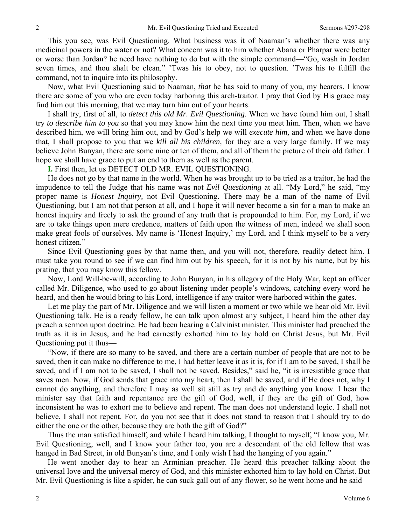This you see, was Evil Questioning. What business was it of Naaman's whether there was any medicinal powers in the water or not? What concern was it to him whether Abana or Pharpar were better or worse than Jordan? he need have nothing to do but with the simple command—"Go, wash in Jordan seven times, and thou shalt be clean." 'Twas his to obey, not to question. 'Twas his to fulfill the command, not to inquire into its philosophy.

Now, what Evil Questioning said to Naaman, *that* he has said to many of you, my hearers. I know there are some of you who are even today harboring this arch-traitor. I pray that God by His grace may find him out this morning, that we may turn him out of your hearts.

I shall try, first of all, to *detect this old Mr. Evil Questioning*. When we have found him out, I shall try *to describe him to you* so that you may know him the next time you meet him. Then, when we have described him, we will bring him out, and by God's help we will *execute him,* and when we have done that, I shall propose to you that we *kill all his children,* for they are a very large family. If we may believe John Bunyan, there are some nine or ten of them, and all of them the picture of their old father. I hope we shall have grace to put an end to them as well as the parent.

**I.** First then, let us DETECT OLD MR. EVIL QUESTIONING.

He does not go by that name in the world. When he was brought up to be tried as a traitor, he had the impudence to tell the Judge that his name was not *Evil Questioning* at all. "My Lord," he said, "my proper name is *Honest Inquiry,* not Evil Questioning. There may be a man of the name of Evil Questioning, but I am not that person at all, and I hope it will never become a sin for a man to make an honest inquiry and freely to ask the ground of any truth that is propounded to him. For, my Lord, if we are to take things upon mere credence, matters of faith upon the witness of men, indeed we shall soon make great fools of ourselves. My name is 'Honest Inquiry,' my Lord, and I think myself to be a very honest citizen."

Since Evil Questioning goes by that name then, and you will not, therefore, readily detect him. I must take you round to see if we can find him out by his speech, for it is not by his name, but by his prating, that you may know this fellow.

Now, Lord Will-be-will, according to John Bunyan, in his allegory of the Holy War, kept an officer called Mr. Diligence, who used to go about listening under people's windows, catching every word he heard, and then he would bring to his Lord, intelligence if any traitor were harbored within the gates.

Let me play the part of Mr. Diligence and we will listen a moment or two while we hear old Mr. Evil Questioning talk. He is a ready fellow, he can talk upon almost any subject, I heard him the other day preach a sermon upon doctrine. He had been hearing a Calvinist minister. This minister had preached the truth as it is in Jesus, and he had earnestly exhorted him to lay hold on Christ Jesus, but Mr. Evil Questioning put it thus—

"Now, if there are so many to be saved, and there are a certain number of people that are not to be saved, then it can make no difference to me, I had better leave it as it is, for if I am to be saved, I shall be saved, and if I am not to be saved, I shall not be saved. Besides," said he, "it is irresistible grace that saves men. Now, if God sends that grace into my heart, then I shall be saved, and if He does not, why I cannot do anything, and therefore I may as well sit still as try and do anything you know. I hear the minister say that faith and repentance are the gift of God, well, if they are the gift of God, how inconsistent he was to exhort me to believe and repent. The man does not understand logic. I shall not believe, I shall not repent. For, do you not see that it does not stand to reason that I should try to do either the one or the other, because they are both the gift of God?"

Thus the man satisfied himself, and while I heard him talking, I thought to myself, "I know you, Mr. Evil Questioning, well, and I know your father too, you are a descendant of the old fellow that was hanged in Bad Street, in old Bunyan's time, and I only wish I had the hanging of you again."

He went another day to hear an Arminian preacher. He heard this preacher talking about the universal love and the universal mercy of God, and this minister exhorted him to lay hold on Christ. But Mr. Evil Questioning is like a spider, he can suck gall out of any flower, so he went home and he said—

2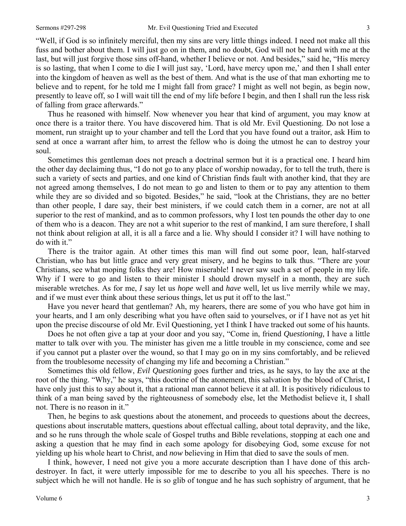"Well, if God is so infinitely merciful, then my sins are very little things indeed. I need not make all this fuss and bother about them. I will just go on in them, and no doubt, God will not be hard with me at the last, but will just forgive those sins off-hand, whether I believe or not. And besides," said he, "His mercy is so lasting, that when I come to die I will just say, 'Lord, have mercy upon me,' and then I shall enter into the kingdom of heaven as well as the best of them. And what is the use of that man exhorting me to believe and to repent, for he told me I might fall from grace? I might as well not begin, as begin now, presently to leave off, so I will wait till the end of my life before I begin, and then I shall run the less risk of falling from grace afterwards."

Thus he reasoned with himself. Now whenever you hear that kind of argument, you may know at once there is a traitor there. You have discovered him. That is old Mr. Evil Questioning. Do not lose a moment, run straight up to your chamber and tell the Lord that you have found out a traitor, ask Him to send at once a warrant after him, to arrest the fellow who is doing the utmost he can to destroy your soul.

Sometimes this gentleman does not preach a doctrinal sermon but it is a practical one. I heard him the other day declaiming thus, "I do not go to any place of worship nowaday, for to tell the truth, there is such a variety of sects and parties, and one kind of Christian finds fault with another kind, that they are not agreed among themselves, I do not mean to go and listen to them or to pay any attention to them while they are so divided and so bigoted. Besides," he said, "look at the Christians, they are no better than other people, I dare say, their best ministers, if we could catch them in a corner, are not at all superior to the rest of mankind, and as to common professors, why I lost ten pounds the other day to one of them who is a deacon. They are not a whit superior to the rest of mankind, I am sure therefore, I shall not think about religion at all, it is all a farce and a lie. Why should I consider it? I will have nothing to do with it."

There is the traitor again. At other times this man will find out some poor, lean, half-starved Christian, who has but little grace and very great misery, and he begins to talk thus. "There are your Christians, see what moping folks they are! How miserable! I never saw such a set of people in my life. Why if I were to go and listen to their minister I should drown myself in a month, they are such miserable wretches. As for me, *I* say let us *hope* well and *have* well, let us live merrily while we may, and if we must ever think about these serious things, let us put it off to the last."

Have you never heard that gentleman? Ah, my hearers, there are some of you who have got him in your hearts, and I am only describing what you have often said to yourselves, or if I have not as yet hit upon the precise discourse of old Mr. Evil Questioning, yet I think I have tracked out some of his haunts.

Does he not often give a tap at your door and you say, "Come in, friend *Questioning,* I have a little matter to talk over with you. The minister has given me a little trouble in my conscience, come and see if you cannot put a plaster over the wound, so that I may go on in my sins comfortably, and be relieved from the troublesome necessity of changing my life and becoming a Christian."

Sometimes this old fellow, *Evil Questioning* goes further and tries, as he says, to lay the axe at the root of the thing. "Why," he says, "this doctrine of the atonement, this salvation by the blood of Christ, I have only just this to say about it, that a rational man cannot believe it at all. It is positively ridiculous to think of a man being saved by the righteousness of somebody else, let the Methodist believe it, I shall not. There is no reason in it."

Then, he begins to ask questions about the atonement, and proceeds to questions about the decrees, questions about inscrutable matters, questions about effectual calling, about total depravity, and the like, and so he runs through the whole scale of Gospel truths and Bible revelations, stopping at each one and asking a question that he may find in each some apology for disobeying God, some excuse for not yielding up his whole heart to Christ, and *now* believing in Him that died to save the souls of men.

I think, however, I need not give you a more accurate description than I have done of this archdestroyer. In fact, it were utterly impossible for me to describe to you all his speeches. There is no subject which he will not handle. He is so glib of tongue and he has such sophistry of argument, that he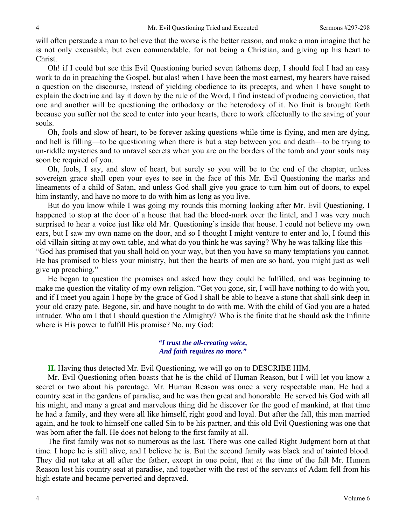will often persuade a man to believe that the worse is the better reason, and make a man imagine that he is not only excusable, but even commendable, for not being a Christian, and giving up his heart to Christ.

Oh! if I could but see this Evil Questioning buried seven fathoms deep, I should feel I had an easy work to do in preaching the Gospel, but alas! when I have been the most earnest, my hearers have raised a question on the discourse, instead of yielding obedience to its precepts, and when I have sought to explain the doctrine and lay it down by the rule of the Word, I find instead of producing conviction, that one and another will be questioning the orthodoxy or the heterodoxy of it. No fruit is brought forth because you suffer not the seed to enter into your hearts, there to work effectually to the saving of your souls.

Oh, fools and slow of heart, to be forever asking questions while time is flying, and men are dying, and hell is filling—to be questioning when there is but a step between you and death—to be trying to un-riddle mysteries and to unravel secrets when you are on the borders of the tomb and your souls may soon be required of you.

Oh, fools, I say, and slow of heart, but surely so you will be to the end of the chapter, unless sovereign grace shall open your eyes to see in the face of this Mr. Evil Questioning the marks and lineaments of a child of Satan, and unless God shall give you grace to turn him out of doors, to expel him instantly, and have no more to do with him as long as you live.

But do you know while I was going my rounds this morning looking after Mr. Evil Questioning, I happened to stop at the door of a house that had the blood-mark over the lintel, and I was very much surprised to hear a voice just like old Mr. Questioning's inside that house. I could not believe my own ears, but I saw my own name on the door, and so I thought I might venture to enter and lo, I found this old villain sitting at my own table, and what do you think he was saying? Why he was talking like this— "God has promised that you shall hold on your way, but then you have so many temptations you cannot. He has promised to bless your ministry, but then the hearts of men are so hard, you might just as well give up preaching."

He began to question the promises and asked how they could be fulfilled, and was beginning to make me question the vitality of my own religion. "Get you gone, sir, I will have nothing to do with you, and if I meet you again I hope by the grace of God I shall be able to heave a stone that shall sink deep in your old crazy pate. Begone, sir, and have nought to do with me. With the child of God you are a hated intruder. Who am I that I should question the Almighty? Who is the finite that he should ask the Infinite where is His power to fulfill His promise? No, my God:

> *"I trust the all-creating voice, And faith requires no more."*

**II.** Having thus detected Mr. Evil Questioning, we will go on to DESCRIBE HIM.

Mr. Evil Questioning often boasts that he is the child of Human Reason, but I will let you know a secret or two about his parentage. Mr. Human Reason was once a very respectable man. He had a country seat in the gardens of paradise, and he was then great and honorable. He served his God with all his might, and many a great and marvelous thing did he discover for the good of mankind, at that time he had a family, and they were all like himself, right good and loyal. But after the fall, this man married again, and he took to himself one called Sin to be his partner, and this old Evil Questioning was one that was born after the fall. He does not belong to the first family at all.

The first family was not so numerous as the last. There was one called Right Judgment born at that time. I hope he is still alive, and I believe he is. But the second family was black and of tainted blood. They did not take at all after the father, except in one point, that at the time of the fall Mr. Human Reason lost his country seat at paradise, and together with the rest of the servants of Adam fell from his high estate and became perverted and depraved.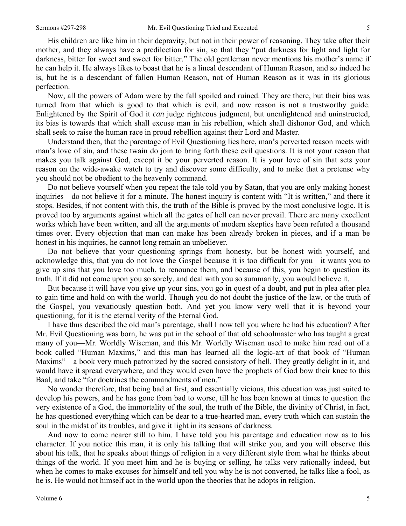His children are like him in their depravity, but not in their power of reasoning. They take after their mother, and they always have a predilection for sin, so that they "put darkness for light and light for darkness, bitter for sweet and sweet for bitter." The old gentleman never mentions his mother's name if he can help it. He always likes to boast that he is a lineal descendant of Human Reason, and so indeed he is, but he is a descendant of fallen Human Reason, not of Human Reason as it was in its glorious perfection.

Now, all the powers of Adam were by the fall spoiled and ruined. They are there, but their bias was turned from that which is good to that which is evil, and now reason is not a trustworthy guide. Enlightened by the Spirit of God it *can* judge righteous judgment, but unenlightened and uninstructed, its bias is towards that which shall excuse man in his rebellion, which shall dishonor God, and which shall seek to raise the human race in proud rebellion against their Lord and Master.

Understand then, that the parentage of Evil Questioning lies here, man's perverted reason meets with man's love of sin, and these twain do join to bring forth these evil questions. It is not your reason that makes you talk against God, except it be your perverted reason. It is your love of sin that sets your reason on the wide-awake watch to try and discover some difficulty, and to make that a pretense why you should not be obedient to the heavenly command.

Do not believe yourself when you repeat the tale told you by Satan, that you are only making honest inquiries—do not believe it for a minute. The honest inquiry is content with "It is written," and there it stops. Besides, if not content with this, the truth of the Bible is proved by the most conclusive logic. It is proved too by arguments against which all the gates of hell can never prevail. There are many excellent works which have been written, and all the arguments of modern skeptics have been refuted a thousand times over. Every objection that man can make has been already broken in pieces, and if a man be honest in his inquiries, he cannot long remain an unbeliever.

Do not believe that your questioning springs from honesty, but be honest with yourself, and acknowledge this, that you do not love the Gospel because it is too difficult for you—it wants you to give up sins that you love too much, to renounce them, and because of this, you begin to question its truth. If it did not come upon you so sorely, and deal with you so summarily, you would believe it.

But because it will have you give up your sins, you go in quest of a doubt, and put in plea after plea to gain time and hold on with the world. Though you do not doubt the justice of the law, or the truth of the Gospel, you vexatiously question both. And yet you know very well that it is beyond your questioning, for it is the eternal verity of the Eternal God.

I have thus described the old man's parentage, shall I now tell you where he had his education? After Mr. Evil Questioning was born, he was put in the school of that old schoolmaster who has taught a great many of you—Mr. Worldly Wiseman, and this Mr. Worldly Wiseman used to make him read out of a book called "Human Maxims," and this man has learned all the logic-art of that book of "Human Maxims"—a book very much patronized by the sacred consistory of hell. They greatly delight in it, and would have it spread everywhere, and they would even have the prophets of God bow their knee to this Baal, and take "for doctrines the commandments of men."

No wonder therefore, that being bad at first, and essentially vicious, this education was just suited to develop his powers, and he has gone from bad to worse, till he has been known at times to question the very existence of a God, the immortality of the soul, the truth of the Bible, the divinity of Christ, in fact, he has questioned everything which can be dear to a true-hearted man, every truth which can sustain the soul in the midst of its troubles, and give it light in its seasons of darkness.

And now to come nearer still to him. I have told you his parentage and education now as to his character. If you notice this man, it is only his talking that will strike you, and you will observe this about his talk, that he speaks about things of religion in a very different style from what he thinks about things of the world. If you meet him and he is buying or selling, he talks very rationally indeed, but when he comes to make excuses for himself and tell you why he is not converted, he talks like a fool, as he is. He would not himself act in the world upon the theories that he adopts in religion.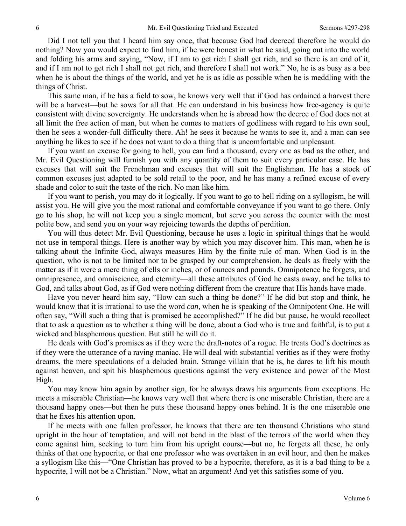Did I not tell you that I heard him say once, that because God had decreed therefore he would do nothing? Now you would expect to find him, if he were honest in what he said, going out into the world and folding his arms and saying, "Now, if I am to get rich I shall get rich, and so there is an end of it, and if I am not to get rich I shall not get rich, and therefore I shall not work." No, he is as busy as a bee when he is about the things of the world, and yet he is as idle as possible when he is meddling with the things of Christ.

This same man, if he has a field to sow, he knows very well that if God has ordained a harvest there will be a harvest—but he sows for all that. He can understand in his business how free-agency is quite consistent with divine sovereignty. He understands when he is abroad how the decree of God does not at all limit the free action of man, but when he comes to matters of godliness with regard to his own soul, then he sees a wonder-full difficulty there. Ah! he sees it because he wants to see it, and a man can see anything he likes to see if he does not want to do a thing that is uncomfortable and unpleasant.

If you want an excuse for going to hell, you can find a thousand, every one as bad as the other, and Mr. Evil Questioning will furnish you with any quantity of them to suit every particular case. He has excuses that will suit the Frenchman and excuses that will suit the Englishman. He has a stock of common excuses just adapted to be sold retail to the poor, and he has many a refined excuse of every shade and color to suit the taste of the rich. No man like him.

If you want to perish, you may do it logically. If you want to go to hell riding on a syllogism, he will assist you. He will give you the most rational and comfortable conveyance if you want to go there. Only go to his shop, he will not keep you a single moment, but serve you across the counter with the most polite bow, and send you on your way rejoicing towards the depths of perdition.

You will thus detect Mr. Evil Questioning, because he uses a logic in spiritual things that he would not use in temporal things. Here is another way by which you may discover him. This man, when he is talking about the Infinite God, always measures Him by the finite rule of man. When God is in the question, who is not to be limited nor to be grasped by our comprehension, he deals as freely with the matter as if it were a mere thing of ells or inches, or of ounces and pounds. Omnipotence he forgets, and omnipresence, and omniscience, and eternity—all these attributes of God he casts away, and he talks to God, and talks about God, as if God were nothing different from the creature that His hands have made.

Have you never heard him say, "How can such a thing be done?" If he did but stop and think, he would know that it is irrational to use the word *can,* when he is speaking of the Omnipotent One. He will often say, "Will such a thing that is promised be accomplished?" If he did but pause, he would recollect that to ask a question as to whether a thing will be done, about a God who is true and faithful, is to put a wicked and blasphemous question. But still he will do it.

He deals with God's promises as if they were the draft-notes of a rogue. He treats God's doctrines as if they were the utterance of a raving maniac. He will deal with substantial verities as if they were frothy dreams, the mere speculations of a deluded brain. Strange villain that he is, he dares to lift his mouth against heaven, and spit his blasphemous questions against the very existence and power of the Most High.

You may know him again by another sign, for he always draws his arguments from exceptions. He meets a miserable Christian—he knows very well that where there is one miserable Christian, there are a thousand happy ones—but then he puts these thousand happy ones behind. It is the one miserable one that he fixes his attention upon.

If he meets with one fallen professor, he knows that there are ten thousand Christians who stand upright in the hour of temptation, and will not bend in the blast of the terrors of the world when they come against him, seeking to turn him from his upright course—but no, he forgets all these, he only thinks of that one hypocrite, or that one professor who was overtaken in an evil hour, and then he makes a syllogism like this—"One Christian has proved to be a hypocrite, therefore, as it is a bad thing to be a hypocrite, I will not be a Christian." Now, what an argument! And yet this satisfies some of you.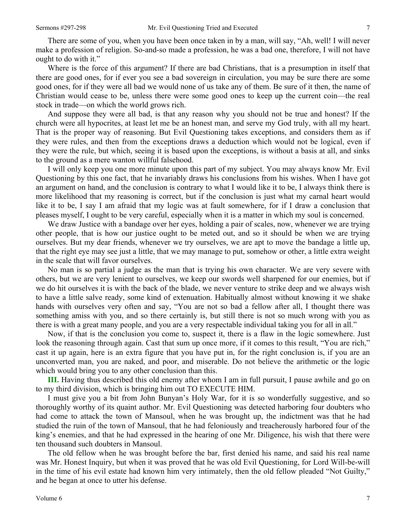There are some of you, when you have been once taken in by a man, will say, "Ah, well! I will never make a profession of religion. So-and-so made a profession, he was a bad one, therefore, I will not have ought to do with it."

Where is the force of this argument? If there are bad Christians, that is a presumption in itself that there are good ones, for if ever you see a bad sovereign in circulation, you may be sure there are some good ones, for if they were all bad we would none of us take any of them. Be sure of it then, the name of Christian would cease to be, unless there were some good ones to keep up the current coin—the real stock in trade—on which the world grows rich.

And suppose they were all bad, is that any reason why you should not be true and honest? If the church were all hypocrites, at least let me be an honest man, and serve my God truly, with all my heart. That is the proper way of reasoning. But Evil Questioning takes exceptions, and considers them as if they were rules, and then from the exceptions draws a deduction which would not be logical, even if they were the rule, but which, seeing it is based upon the exceptions, is without a basis at all, and sinks to the ground as a mere wanton willful falsehood.

I will only keep you one more minute upon this part of my subject. You may always know Mr. Evil Questioning by this one fact, that he invariably draws his conclusions from his wishes. When I have got an argument on hand, and the conclusion is contrary to what I would like it to be, I always think there is more likelihood that my reasoning is correct, but if the conclusion is just what my carnal heart would like it to be, I say I am afraid that my logic was at fault somewhere, for if I draw a conclusion that pleases myself, I ought to be very careful, especially when it is a matter in which my soul is concerned.

We draw Justice with a bandage over her eyes, holding a pair of scales, now, whenever we are trying other people, that is how our justice ought to be meted out, and so it should be when we are trying ourselves. But my dear friends, whenever we try ourselves, we are apt to move the bandage a little up, that the right eye may see just a little, that we may manage to put, somehow or other, a little extra weight in the scale that will favor ourselves.

No man is so partial a judge as the man that is trying his own character. We are very severe with others, but we are very lenient to ourselves, we keep our swords well sharpened for our enemies, but if we do hit ourselves it is with the back of the blade, we never venture to strike deep and we always wish to have a little salve ready, some kind of extenuation. Habitually almost without knowing it we shake hands with ourselves very often and say, "You are not so bad a fellow after all, I thought there was something amiss with you, and so there certainly is, but still there is not so much wrong with you as there is with a great many people, and you are a very respectable individual taking you for all in all."

Now, if that is the conclusion you come to, suspect it, there is a flaw in the logic somewhere. Just look the reasoning through again. Cast that sum up once more, if it comes to this result, "You are rich," cast it up again, here is an extra figure that you have put in, for the right conclusion is, if you are an unconverted man, you are naked, and poor, and miserable. Do not believe the arithmetic or the logic which would bring you to any other conclusion than this.

**III.** Having thus described this old enemy after whom I am in full pursuit, I pause awhile and go on to my third division, which is bringing him out TO EXECUTE HIM.

I must give you a bit from John Bunyan's Holy War, for it is so wonderfully suggestive, and so thoroughly worthy of its quaint author. Mr. Evil Questioning was detected harboring four doubters who had come to attack the town of Mansoul, when he was brought up, the indictment was that he had studied the ruin of the town of Mansoul, that he had feloniously and treacherously harbored four of the king's enemies, and that he had expressed in the hearing of one Mr. Diligence, his wish that there were ten thousand such doubters in Mansoul.

The old fellow when he was brought before the bar, first denied his name, and said his real name was Mr. Honest Inquiry, but when it was proved that he was old Evil Questioning, for Lord Will-be-will in the time of his evil estate had known him very intimately, then the old fellow pleaded "Not Guilty," and he began at once to utter his defense.

7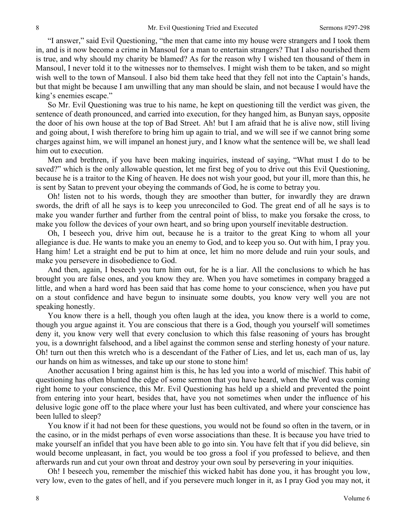"I answer," said Evil Questioning, "the men that came into my house were strangers and I took them in, and is it now become a crime in Mansoul for a man to entertain strangers? That I also nourished them is true, and why should my charity be blamed? As for the reason why I wished ten thousand of them in Mansoul, I never told it to the witnesses nor to themselves. I might wish them to be taken, and so might wish well to the town of Mansoul. I also bid them take heed that they fell not into the Captain's hands, but that might be because I am unwilling that any man should be slain, and not because I would have the king's enemies escape."

So Mr. Evil Questioning was true to his name, he kept on questioning till the verdict was given, the sentence of death pronounced, and carried into execution, for they hanged him, as Bunyan says, opposite the door of his own house at the top of Bad Street. Ah! but I am afraid that he is alive now, still living and going about, I wish therefore to bring him up again to trial, and we will see if we cannot bring some charges against him, we will impanel an honest jury, and I know what the sentence will be, we shall lead him out to execution.

Men and brethren, if you have been making inquiries, instead of saying, "What must I do to be saved?" which is the only allowable question, let me first beg of you to drive out this Evil Questioning, because he is a traitor to the King of heaven. He does not wish your good, but your ill, more than this, he is sent by Satan to prevent your obeying the commands of God, he is come to betray you.

Oh! listen not to his words, though they are smoother than butter, for inwardly they are drawn swords, the drift of all he says is to keep you unreconciled to God. The great end of all he says is to make you wander further and further from the central point of bliss, to make you forsake the cross, to make you follow the devices of your own heart, and so bring upon yourself inevitable destruction.

Oh, I beseech you, drive him out, because he is a traitor to the great King to whom all your allegiance is due. He wants to make you an enemy to God, and to keep you so. Out with him, I pray you. Hang him! Let a straight end be put to him at once, let him no more delude and ruin your souls, and make you persevere in disobedience to God.

And then, again, I beseech you turn him out, for he is a liar. All the conclusions to which he has brought you are false ones, and you know they are. When you have sometimes in company bragged a little, and when a hard word has been said that has come home to your conscience, when you have put on a stout confidence and have begun to insinuate some doubts, you know very well you are not speaking honestly.

You know there is a hell, though you often laugh at the idea, you know there is a world to come, though you argue against it. You are conscious that there is a God, though you yourself will sometimes deny it, you know very well that every conclusion to which this false reasoning of yours has brought you, is a downright falsehood, and a libel against the common sense and sterling honesty of your nature. Oh! turn out then this wretch who is a descendant of the Father of Lies, and let us, each man of us, lay our hands on him as witnesses, and take up our stone to stone him!

Another accusation I bring against him is this, he has led you into a world of mischief. This habit of questioning has often blunted the edge of some sermon that you have heard, when the Word was coming right home to your conscience, this Mr. Evil Questioning has held up a shield and prevented the point from entering into your heart, besides that, have you not sometimes when under the influence of his delusive logic gone off to the place where your lust has been cultivated, and where your conscience has been lulled to sleep?

You know if it had not been for these questions, you would not be found so often in the tavern, or in the casino, or in the midst perhaps of even worse associations than these. It is because you have tried to make yourself an infidel that you have been able to go into sin. You have felt that if you did believe, sin would become unpleasant, in fact, you would be too gross a fool if you professed to believe, and then afterwards run and cut your own throat and destroy your own soul by persevering in your iniquities.

Oh! I beseech you, remember the mischief this wicked habit has done you, it has brought you low, very low, even to the gates of hell, and if you persevere much longer in it, as I pray God you may not, it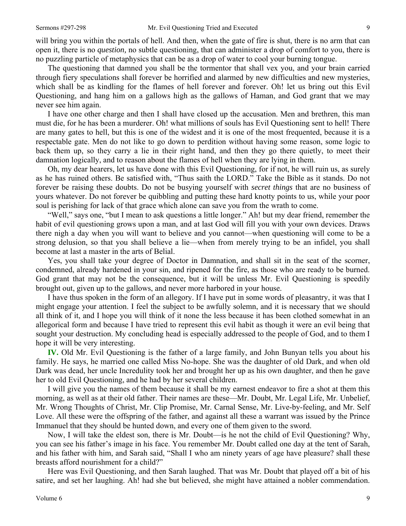9

will bring you within the portals of hell. And then, when the gate of fire is shut, there is no arm that can open it, there is no *question,* no subtle questioning, that can administer a drop of comfort to you, there is no puzzling particle of metaphysics that can be as a drop of water to cool your burning tongue.

The questioning that damned you shall be the tormentor that shall vex you, and your brain carried through fiery speculations shall forever be horrified and alarmed by new difficulties and new mysteries, which shall be as kindling for the flames of hell forever and forever. Oh! let us bring out this Evil Questioning, and hang him on a gallows high as the gallows of Haman, and God grant that we may never see him again.

I have one other charge and then I shall have closed up the accusation. Men and brethren, this man must die, for he has been a murderer. Oh! what millions of souls has Evil Questioning sent to hell! There are many gates to hell, but this is one of the widest and it is one of the most frequented, because it is a respectable gate. Men do not like to go down to perdition without having some reason, some logic to back them up, so they carry a lie in their right hand, and then they go there quietly, to meet their damnation logically, and to reason about the flames of hell when they are lying in them.

Oh, my dear hearers, let us have done with this Evil Questioning, for if not, he will ruin us, as surely as he has ruined others. Be satisfied with, "Thus saith the LORD." Take the Bible as it stands. Do not forever be raising these doubts. Do not be busying yourself with *secret things* that are no business of yours whatever. Do not forever be quibbling and putting these hard knotty points to us, while your poor soul is perishing for lack of that grace which alone can save you from the wrath to come.

"Well," says one, "but I mean to ask questions a little longer." Ah! but my dear friend, remember the habit of evil questioning grows upon a man, and at last God will fill you with your own devices. Draws there nigh a day when you will want to believe and you cannot—when questioning will come to be a strong delusion, so that you shall believe a lie—when from merely trying to be an infidel, you shall become at last a master in the arts of Belial.

Yes, you shall take your degree of Doctor in Damnation, and shall sit in the seat of the scorner, condemned, already hardened in your sin, and ripened for the fire, as those who are ready to be burned. God grant that may not be the consequence, but it will be unless Mr. Evil Questioning is speedily brought out, given up to the gallows, and never more harbored in your house.

I have thus spoken in the form of an allegory. If I have put in some words of pleasantry, it was that I might engage your attention. I feel the subject to be awfully solemn, and it is necessary that we should all think of it, and I hope you will think of it none the less because it has been clothed somewhat in an allegorical form and because I have tried to represent this evil habit as though it were an evil being that sought your destruction. My concluding head is especially addressed to the people of God, and to them I hope it will be very interesting.

**IV.** Old Mr. Evil Questioning is the father of a large family, and John Bunyan tells you about his family. He says, he married one called Miss No-hope. She was the daughter of old Dark, and when old Dark was dead, her uncle Incredulity took her and brought her up as his own daughter, and then he gave her to old Evil Questioning, and he had by her several children.

I will give you the names of them because it shall be my earnest endeavor to fire a shot at them this morning, as well as at their old father. Their names are these—Mr. Doubt, Mr. Legal Life, Mr. Unbelief, Mr. Wrong Thoughts of Christ, Mr. Clip Promise, Mr. Carnal Sense, Mr. Live-by-feeling, and Mr. Self Love. All these were the offspring of the father, and against all these a warrant was issued by the Prince Immanuel that they should be hunted down, and every one of them given to the sword.

Now, I will take the eldest son, there is Mr. Doubt—is he not the child of Evil Questioning? Why, you can see his father's image in his face. You remember Mr. Doubt called one day at the tent of Sarah, and his father with him, and Sarah said, "Shall I who am ninety years of age have pleasure? shall these breasts afford nourishment for a child?"

Here was Evil Questioning, and then Sarah laughed. That was Mr. Doubt that played off a bit of his satire, and set her laughing. Ah! had she but believed, she might have attained a nobler commendation.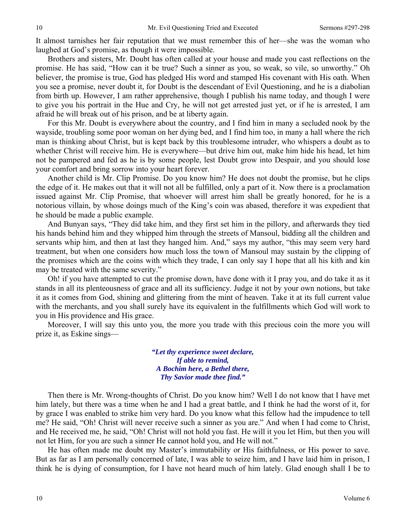It almost tarnishes her fair reputation that we must remember this of her—she was the woman who laughed at God's promise, as though it were impossible.

Brothers and sisters, Mr. Doubt has often called at your house and made you cast reflections on the promise. He has said, "How can it be true? Such a sinner as you, so weak, so vile, so unworthy." Oh believer, the promise is true, God has pledged His word and stamped His covenant with His oath. When you see a promise, never doubt it, for Doubt is the descendant of Evil Questioning, and he is a diabolian from birth up. However, I am rather apprehensive, though I publish his name today, and though I were to give you his portrait in the Hue and Cry, he will not get arrested just yet, or if he is arrested, I am afraid he will break out of his prison, and be at liberty again.

For this Mr. Doubt is everywhere about the country, and I find him in many a secluded nook by the wayside, troubling some poor woman on her dying bed, and I find him too, in many a hall where the rich man is thinking about Christ, but is kept back by this troublesome intruder, who whispers a doubt as to whether Christ will receive him. He is everywhere—but drive him out, make him hide his head, let him not be pampered and fed as he is by some people, lest Doubt grow into Despair, and you should lose your comfort and bring sorrow into your heart forever.

Another child is Mr. Clip Promise. Do you know him? He does not doubt the promise, but he clips the edge of it. He makes out that it will not all be fulfilled, only a part of it. Now there is a proclamation issued against Mr. Clip Promise, that whoever will arrest him shall be greatly honored, for he is a notorious villain, by whose doings much of the King's coin was abased, therefore it was expedient that he should be made a public example.

And Bunyan says, "They did take him, and they first set him in the pillory, and afterwards they tied his hands behind him and they whipped him through the streets of Mansoul, bidding all the children and servants whip him, and then at last they hanged him. And," says my author, "this may seem very hard treatment, but when one considers how much loss the town of Mansoul may sustain by the clipping of the promises which are the coins with which they trade, I can only say I hope that all his kith and kin may be treated with the same severity."

Oh! if you have attempted to cut the promise down, have done with it I pray you, and do take it as it stands in all its plenteousness of grace and all its sufficiency. Judge it not by your own notions, but take it as it comes from God, shining and glittering from the mint of heaven. Take it at its full current value with the merchants, and you shall surely have its equivalent in the fulfillments which God will work to you in His providence and His grace.

Moreover, I will say this unto you, the more you trade with this precious coin the more you will prize it, as Eskine sings—

> *"Let thy experience sweet declare, If able to remind, A Bochim here, a Bethel there, Thy Savior made thee find."*

Then there is Mr. Wrong-thoughts of Christ. Do you know him? Well I do not know that I have met him lately, but there was a time when he and I had a great battle, and I think he had the worst of it, for by grace I was enabled to strike him very hard. Do you know what this fellow had the impudence to tell me? He said, "Oh! Christ will never receive such a sinner as you are." And when I had come to Christ, and He received me, he said, "Oh! Christ will not hold you fast. He will it you let Him, but then you will not let Him, for you are such a sinner He cannot hold you, and He will not."

He has often made me doubt my Master's immutability or His faithfulness, or His power to save. But as far as I am personally concerned of late, I was able to seize him, and I have laid him in prison, I think he is dying of consumption, for I have not heard much of him lately. Glad enough shall I be to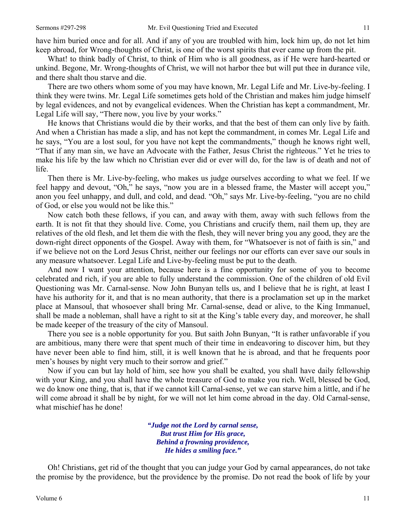have him buried once and for all. And if any of you are troubled with him, lock him up, do not let him keep abroad, for Wrong-thoughts of Christ, is one of the worst spirits that ever came up from the pit.

What! to think badly of Christ, to think of Him who is all goodness, as if He were hard-hearted or unkind. Begone, Mr. Wrong-thoughts of Christ, we will not harbor thee but will put thee in durance vile, and there shalt thou starve and die.

There are two others whom some of you may have known, Mr. Legal Life and Mr. Live-by-feeling. I think they were twins. Mr. Legal Life sometimes gets hold of the Christian and makes him judge himself by legal evidences, and not by evangelical evidences. When the Christian has kept a commandment, Mr. Legal Life will say, "There now, you live by your works."

He knows that Christians would die by their works, and that the best of them can only live by faith. And when a Christian has made a slip, and has not kept the commandment, in comes Mr. Legal Life and he says, "You are a lost soul, for you have not kept the commandments," though he knows right well, "That if any man sin, we have an Advocate with the Father, Jesus Christ the righteous." Yet he tries to make his life by the law which no Christian ever did or ever will do, for the law is of death and not of life.

Then there is Mr. Live-by-feeling, who makes us judge ourselves according to what we feel. If we feel happy and devout, "Oh," he says, "now you are in a blessed frame, the Master will accept you," anon you feel unhappy, and dull, and cold, and dead. "Oh," says Mr. Live-by-feeling, "you are no child of God, or else you would not be like this."

Now catch both these fellows, if you can, and away with them, away with such fellows from the earth. It is not fit that they should live. Come, you Christians and crucify them, nail them up, they are relatives of the old flesh, and let them die with the flesh, they will never bring you any good, they are the down-right direct opponents of the Gospel. Away with them, for "Whatsoever is not of faith is sin," and if we believe not on the Lord Jesus Christ, neither our feelings nor our efforts can ever save our souls in any measure whatsoever. Legal Life and Live-by-feeling must be put to the death.

And now I want your attention, because here is a fine opportunity for some of you to become celebrated and rich, if you are able to fully understand the commission. One of the children of old Evil Questioning was Mr. Carnal-sense. Now John Bunyan tells us, and I believe that he is right, at least I have his authority for it, and that is no mean authority, that there is a proclamation set up in the market place at Mansoul, that whosoever shall bring Mr. Carnal-sense, dead or alive, to the King Immanuel, shall be made a nobleman, shall have a right to sit at the King's table every day, and moreover, he shall be made keeper of the treasury of the city of Mansoul.

There you see is a noble opportunity for you. But saith John Bunyan, "It is rather unfavorable if you are ambitious, many there were that spent much of their time in endeavoring to discover him, but they have never been able to find him, still, it is well known that he is abroad, and that he frequents poor men's houses by night very much to their sorrow and grief."

Now if you can but lay hold of him, see how you shall be exalted, you shall have daily fellowship with your King, and you shall have the whole treasure of God to make you rich. Well, blessed be God, we do know one thing, that is, that if we cannot kill Carnal-sense, yet we can starve him a little, and if he will come abroad it shall be by night, for we will not let him come abroad in the day. Old Carnal-sense, what mischief has he done!

> *"Judge not the Lord by carnal sense, But trust Him for His grace, Behind a frowning providence, He hides a smiling face."*

Oh! Christians, get rid of the thought that you can judge your God by carnal appearances, do not take the promise by the providence, but the providence by the promise. Do not read the book of life by your